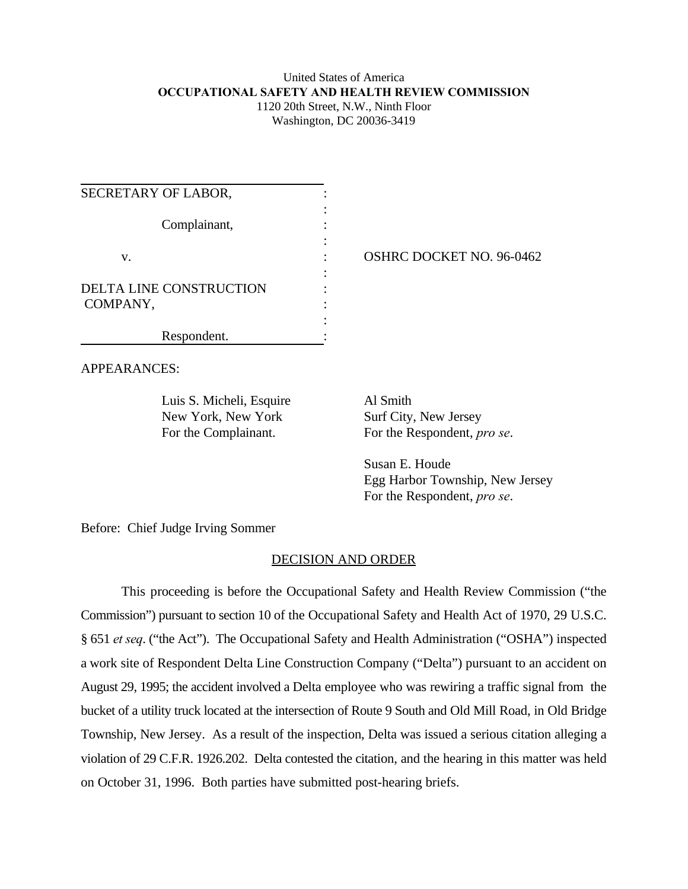# United States of America **OCCUPATIONAL SAFETY AND HEALTH REVIEW COMMISSION** 1120 20th Street, N.W., Ninth Floor

Washington, DC 20036-3419

| SECRETARY OF LABOR,                        |                                 |
|--------------------------------------------|---------------------------------|
| Complainant,                               |                                 |
| V.                                         | <b>OSHRC DOCKET NO. 96-0462</b> |
| <b>DELTA LINE CONSTRUCTION</b><br>COMPANY, |                                 |
| Respondent.                                |                                 |

APPEARANCES:

Luis S. Micheli, Esquire Al Smith New York, New York Surf City, New Jersey

For the Complainant. For the Respondent, *pro se*.

Susan E. Houde Egg Harbor Township, New Jersey For the Respondent, *pro se*.

Before: Chief Judge Irving Sommer

## DECISION AND ORDER

This proceeding is before the Occupational Safety and Health Review Commission ("the Commission") pursuant to section 10 of the Occupational Safety and Health Act of 1970, 29 U.S.C. § 651 *et seq*. ("the Act"). The Occupational Safety and Health Administration ("OSHA") inspected a work site of Respondent Delta Line Construction Company ("Delta") pursuant to an accident on August 29, 1995; the accident involved a Delta employee who was rewiring a traffic signal from the bucket of a utility truck located at the intersection of Route 9 South and Old Mill Road, in Old Bridge Township, New Jersey. As a result of the inspection, Delta was issued a serious citation alleging a violation of 29 C.F.R. 1926.202. Delta contested the citation, and the hearing in this matter was held on October 31, 1996. Both parties have submitted post-hearing briefs.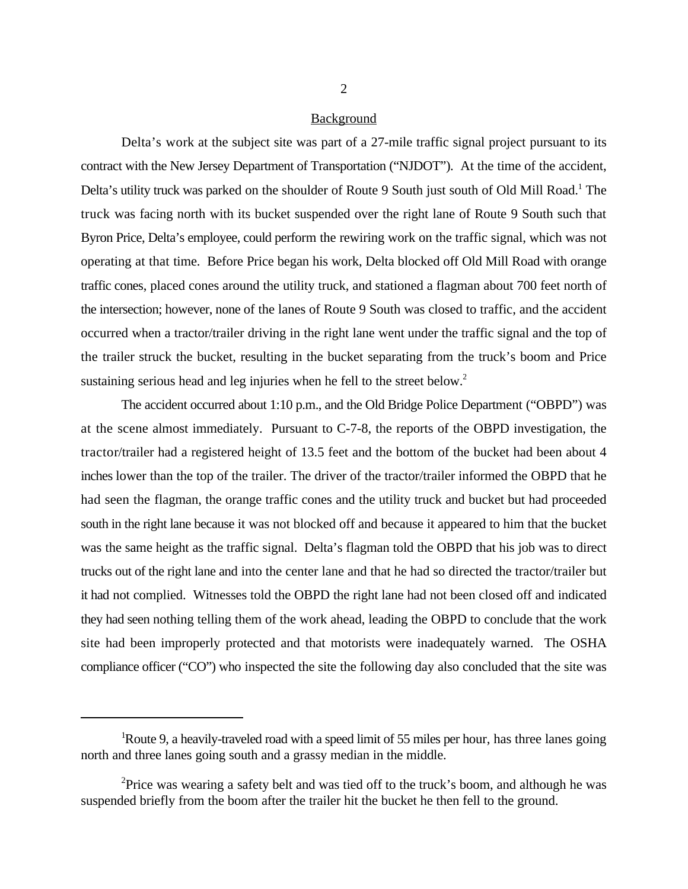#### Background

Delta's work at the subject site was part of a 27-mile traffic signal project pursuant to its contract with the New Jersey Department of Transportation ("NJDOT"). At the time of the accident, Delta's utility truck was parked on the shoulder of Route 9 South just south of Old Mill Road.<sup>1</sup> The truck was facing north with its bucket suspended over the right lane of Route 9 South such that Byron Price, Delta's employee, could perform the rewiring work on the traffic signal, which was not operating at that time. Before Price began his work, Delta blocked off Old Mill Road with orange traffic cones, placed cones around the utility truck, and stationed a flagman about 700 feet north of the intersection; however, none of the lanes of Route 9 South was closed to traffic, and the accident occurred when a tractor/trailer driving in the right lane went under the traffic signal and the top of the trailer struck the bucket, resulting in the bucket separating from the truck's boom and Price sustaining serious head and leg injuries when he fell to the street below.<sup>2</sup>

The accident occurred about 1:10 p.m., and the Old Bridge Police Department ("OBPD") was at the scene almost immediately. Pursuant to C-7-8, the reports of the OBPD investigation, the tractor/trailer had a registered height of 13.5 feet and the bottom of the bucket had been about 4 inches lower than the top of the trailer. The driver of the tractor/trailer informed the OBPD that he had seen the flagman, the orange traffic cones and the utility truck and bucket but had proceeded south in the right lane because it was not blocked off and because it appeared to him that the bucket was the same height as the traffic signal. Delta's flagman told the OBPD that his job was to direct trucks out of the right lane and into the center lane and that he had so directed the tractor/trailer but it had not complied. Witnesses told the OBPD the right lane had not been closed off and indicated they had seen nothing telling them of the work ahead, leading the OBPD to conclude that the work site had been improperly protected and that motorists were inadequately warned. The OSHA compliance officer ("CO") who inspected the site the following day also concluded that the site was

Route 9, a heavily-traveled road with a speed limit of 55 miles per hour, has three lanes going north and three lanes going south and a grassy median in the middle.

<sup>&</sup>lt;sup>2</sup> Price was wearing a safety belt and was tied off to the truck's boom, and although he was suspended briefly from the boom after the trailer hit the bucket he then fell to the ground.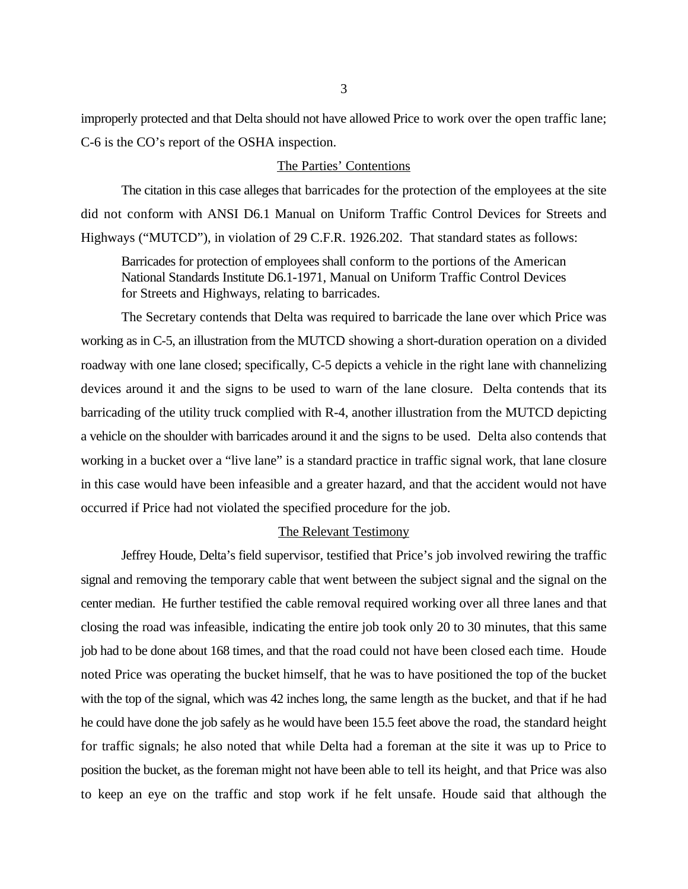improperly protected and that Delta should not have allowed Price to work over the open traffic lane; C-6 is the CO's report of the OSHA inspection.

### The Parties' Contentions

The citation in this case alleges that barricades for the protection of the employees at the site did not conform with ANSI D6.1 Manual on Uniform Traffic Control Devices for Streets and Highways ("MUTCD"), in violation of 29 C.F.R. 1926.202. That standard states as follows:

Barricades for protection of employees shall conform to the portions of the American National Standards Institute D6.1-1971, Manual on Uniform Traffic Control Devices for Streets and Highways, relating to barricades.

The Secretary contends that Delta was required to barricade the lane over which Price was working as in C-5, an illustration from the MUTCD showing a short-duration operation on a divided roadway with one lane closed; specifically, C-5 depicts a vehicle in the right lane with channelizing devices around it and the signs to be used to warn of the lane closure. Delta contends that its barricading of the utility truck complied with R-4, another illustration from the MUTCD depicting a vehicle on the shoulder with barricades around it and the signs to be used. Delta also contends that working in a bucket over a "live lane" is a standard practice in traffic signal work, that lane closure in this case would have been infeasible and a greater hazard, and that the accident would not have occurred if Price had not violated the specified procedure for the job.

### The Relevant Testimony

Jeffrey Houde, Delta's field supervisor, testified that Price's job involved rewiring the traffic signal and removing the temporary cable that went between the subject signal and the signal on the center median. He further testified the cable removal required working over all three lanes and that closing the road was infeasible, indicating the entire job took only 20 to 30 minutes, that this same job had to be done about 168 times, and that the road could not have been closed each time. Houde noted Price was operating the bucket himself, that he was to have positioned the top of the bucket with the top of the signal, which was 42 inches long, the same length as the bucket, and that if he had he could have done the job safely as he would have been 15.5 feet above the road, the standard height for traffic signals; he also noted that while Delta had a foreman at the site it was up to Price to position the bucket, as the foreman might not have been able to tell its height, and that Price was also to keep an eye on the traffic and stop work if he felt unsafe. Houde said that although the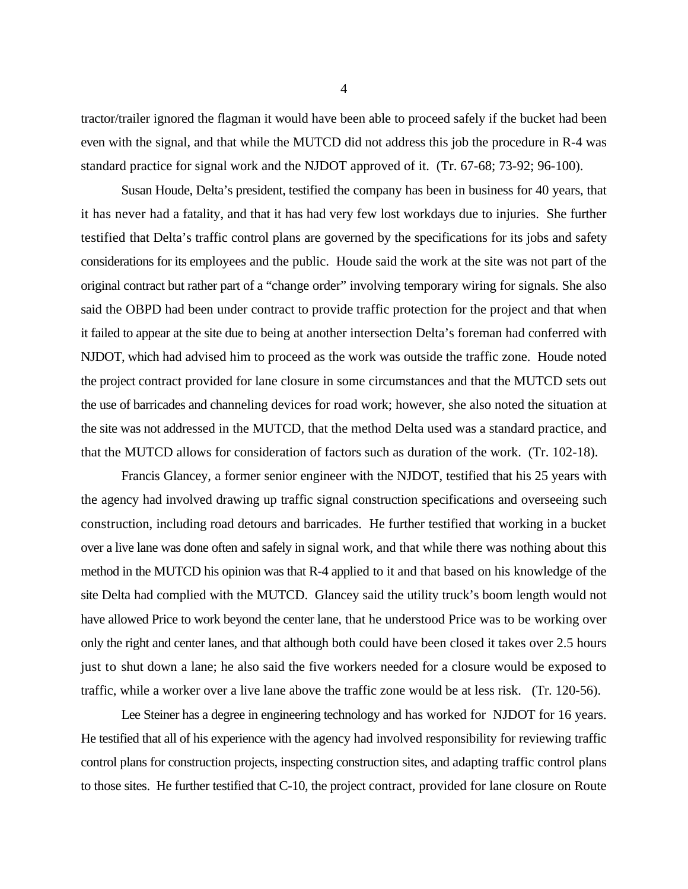tractor/trailer ignored the flagman it would have been able to proceed safely if the bucket had been even with the signal, and that while the MUTCD did not address this job the procedure in R-4 was standard practice for signal work and the NJDOT approved of it. (Tr. 67-68; 73-92; 96-100).

Susan Houde, Delta's president, testified the company has been in business for 40 years, that it has never had a fatality, and that it has had very few lost workdays due to injuries. She further testified that Delta's traffic control plans are governed by the specifications for its jobs and safety considerations for its employees and the public. Houde said the work at the site was not part of the original contract but rather part of a "change order" involving temporary wiring for signals. She also said the OBPD had been under contract to provide traffic protection for the project and that when it failed to appear at the site due to being at another intersection Delta's foreman had conferred with NJDOT, which had advised him to proceed as the work was outside the traffic zone. Houde noted the project contract provided for lane closure in some circumstances and that the MUTCD sets out the use of barricades and channeling devices for road work; however, she also noted the situation at the site was not addressed in the MUTCD, that the method Delta used was a standard practice, and that the MUTCD allows for consideration of factors such as duration of the work. (Tr. 102-18).

Francis Glancey, a former senior engineer with the NJDOT, testified that his 25 years with the agency had involved drawing up traffic signal construction specifications and overseeing such construction, including road detours and barricades. He further testified that working in a bucket over a live lane was done often and safely in signal work, and that while there was nothing about this method in the MUTCD his opinion was that R-4 applied to it and that based on his knowledge of the site Delta had complied with the MUTCD. Glancey said the utility truck's boom length would not have allowed Price to work beyond the center lane, that he understood Price was to be working over only the right and center lanes, and that although both could have been closed it takes over 2.5 hours just to shut down a lane; he also said the five workers needed for a closure would be exposed to traffic, while a worker over a live lane above the traffic zone would be at less risk. (Tr. 120-56).

Lee Steiner has a degree in engineering technology and has worked for NJDOT for 16 years. He testified that all of his experience with the agency had involved responsibility for reviewing traffic control plans for construction projects, inspecting construction sites, and adapting traffic control plans to those sites. He further testified that C-10, the project contract, provided for lane closure on Route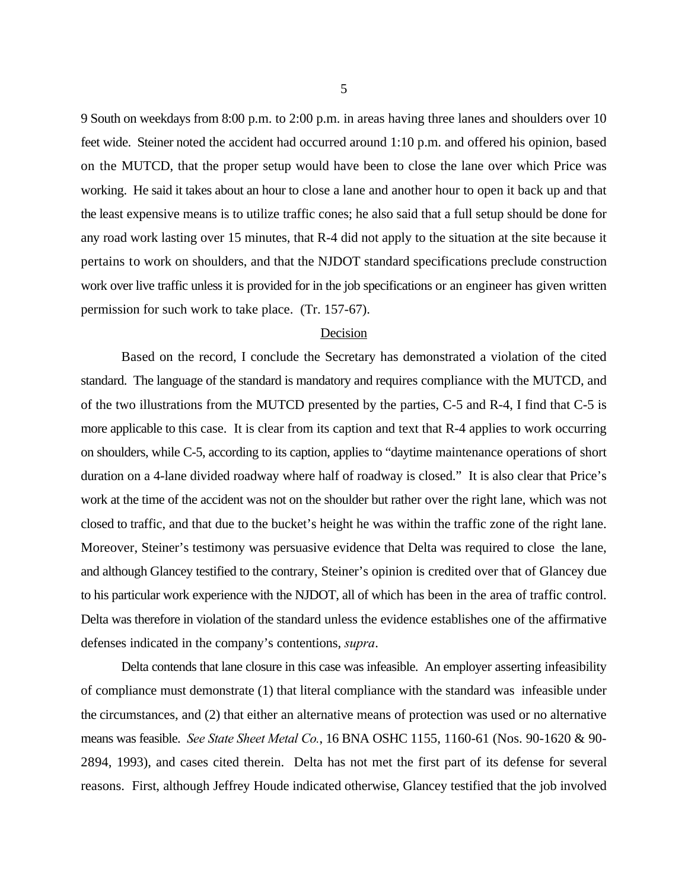9 South on weekdays from 8:00 p.m. to 2:00 p.m. in areas having three lanes and shoulders over 10 feet wide. Steiner noted the accident had occurred around 1:10 p.m. and offered his opinion, based on the MUTCD, that the proper setup would have been to close the lane over which Price was working. He said it takes about an hour to close a lane and another hour to open it back up and that the least expensive means is to utilize traffic cones; he also said that a full setup should be done for any road work lasting over 15 minutes, that R-4 did not apply to the situation at the site because it pertains to work on shoulders, and that the NJDOT standard specifications preclude construction work over live traffic unless it is provided for in the job specifications or an engineer has given written permission for such work to take place. (Tr. 157-67).

#### Decision

Based on the record, I conclude the Secretary has demonstrated a violation of the cited standard. The language of the standard is mandatory and requires compliance with the MUTCD, and of the two illustrations from the MUTCD presented by the parties, C-5 and R-4, I find that C-5 is more applicable to this case. It is clear from its caption and text that R-4 applies to work occurring on shoulders, while C-5, according to its caption, applies to "daytime maintenance operations of short duration on a 4-lane divided roadway where half of roadway is closed." It is also clear that Price's work at the time of the accident was not on the shoulder but rather over the right lane, which was not closed to traffic, and that due to the bucket's height he was within the traffic zone of the right lane. Moreover, Steiner's testimony was persuasive evidence that Delta was required to close the lane, and although Glancey testified to the contrary, Steiner's opinion is credited over that of Glancey due to his particular work experience with the NJDOT, all of which has been in the area of traffic control. Delta was therefore in violation of the standard unless the evidence establishes one of the affirmative defenses indicated in the company's contentions, *supra*.

Delta contends that lane closure in this case was infeasible. An employer asserting infeasibility of compliance must demonstrate (1) that literal compliance with the standard was infeasible under the circumstances, and (2) that either an alternative means of protection was used or no alternative means was feasible. *See State Sheet Metal Co.*, 16 BNA OSHC 1155, 1160-61 (Nos. 90-1620 & 90- 2894, 1993), and cases cited therein. Delta has not met the first part of its defense for several reasons. First, although Jeffrey Houde indicated otherwise, Glancey testified that the job involved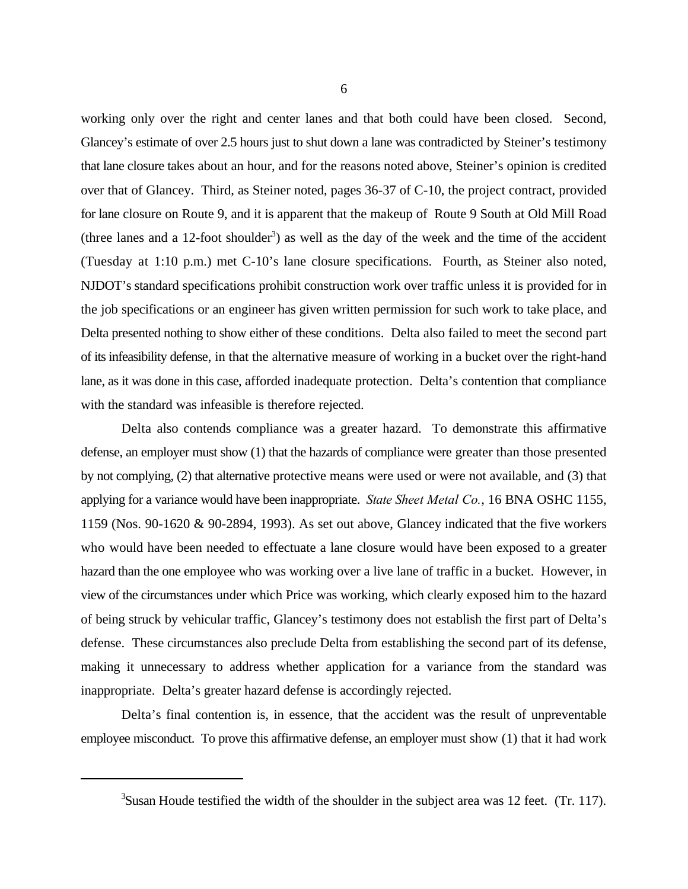working only over the right and center lanes and that both could have been closed. Second, Glancey's estimate of over 2.5 hours just to shut down a lane was contradicted by Steiner's testimony that lane closure takes about an hour, and for the reasons noted above, Steiner's opinion is credited over that of Glancey. Third, as Steiner noted, pages 36-37 of C-10, the project contract, provided for lane closure on Route 9, and it is apparent that the makeup of Route 9 South at Old Mill Road (three lanes and a 12-foot shoulder<sup>3</sup>) as well as the day of the week and the time of the accident (Tuesday at 1:10 p.m.) met C-10's lane closure specifications. Fourth, as Steiner also noted, NJDOT's standard specifications prohibit construction work over traffic unless it is provided for in the job specifications or an engineer has given written permission for such work to take place, and Delta presented nothing to show either of these conditions. Delta also failed to meet the second part of its infeasibility defense, in that the alternative measure of working in a bucket over the right-hand lane, as it was done in this case, afforded inadequate protection. Delta's contention that compliance with the standard was infeasible is therefore rejected.

Delta also contends compliance was a greater hazard. To demonstrate this affirmative defense, an employer must show (1) that the hazards of compliance were greater than those presented by not complying, (2) that alternative protective means were used or were not available, and (3) that applying for a variance would have been inappropriate. *State Sheet Metal Co.*, 16 BNA OSHC 1155, 1159 (Nos. 90-1620 & 90-2894, 1993). As set out above, Glancey indicated that the five workers who would have been needed to effectuate a lane closure would have been exposed to a greater hazard than the one employee who was working over a live lane of traffic in a bucket. However, in view of the circumstances under which Price was working, which clearly exposed him to the hazard of being struck by vehicular traffic, Glancey's testimony does not establish the first part of Delta's defense. These circumstances also preclude Delta from establishing the second part of its defense, making it unnecessary to address whether application for a variance from the standard was inappropriate. Delta's greater hazard defense is accordingly rejected.

Delta's final contention is, in essence, that the accident was the result of unpreventable employee misconduct. To prove this affirmative defense, an employer must show (1) that it had work

 $3$ Susan Houde testified the width of the shoulder in the subject area was 12 feet. (Tr. 117).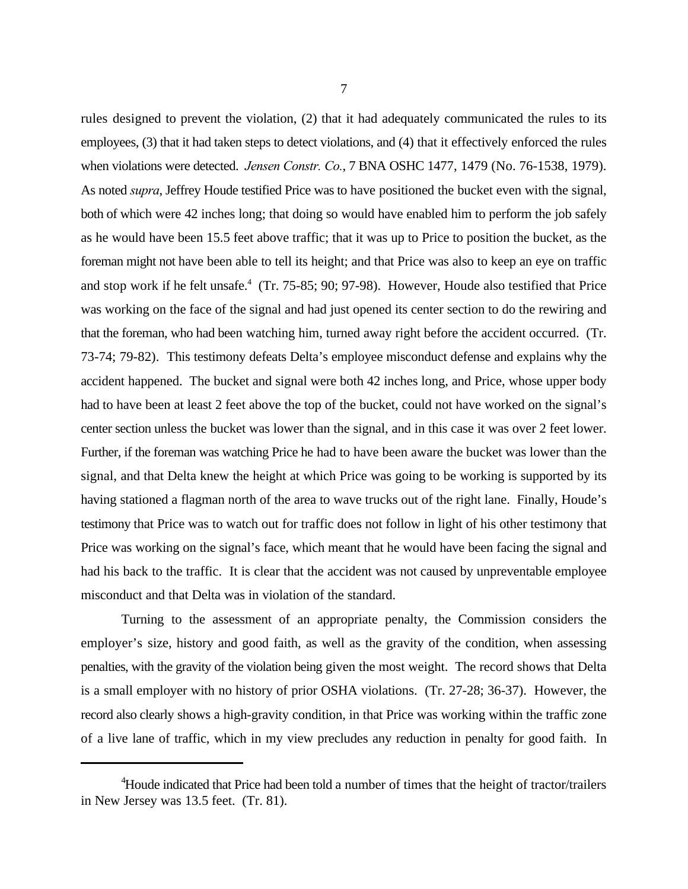rules designed to prevent the violation, (2) that it had adequately communicated the rules to its employees, (3) that it had taken steps to detect violations, and (4) that it effectively enforced the rules when violations were detected. *Jensen Constr. Co.*, 7 BNA OSHC 1477, 1479 (No. 76-1538, 1979). As noted *supra*, Jeffrey Houde testified Price was to have positioned the bucket even with the signal, both of which were 42 inches long; that doing so would have enabled him to perform the job safely as he would have been 15.5 feet above traffic; that it was up to Price to position the bucket, as the foreman might not have been able to tell its height; and that Price was also to keep an eye on traffic and stop work if he felt unsafe.<sup>4</sup> (Tr. 75-85; 90; 97-98). However, Houde also testified that Price was working on the face of the signal and had just opened its center section to do the rewiring and that the foreman, who had been watching him, turned away right before the accident occurred. (Tr. 73-74; 79-82). This testimony defeats Delta's employee misconduct defense and explains why the accident happened. The bucket and signal were both 42 inches long, and Price, whose upper body had to have been at least 2 feet above the top of the bucket, could not have worked on the signal's center section unless the bucket was lower than the signal, and in this case it was over 2 feet lower. Further, if the foreman was watching Price he had to have been aware the bucket was lower than the signal, and that Delta knew the height at which Price was going to be working is supported by its having stationed a flagman north of the area to wave trucks out of the right lane. Finally, Houde's testimony that Price was to watch out for traffic does not follow in light of his other testimony that Price was working on the signal's face, which meant that he would have been facing the signal and had his back to the traffic. It is clear that the accident was not caused by unpreventable employee

Turning to the assessment of an appropriate penalty, the Commission considers the employer's size, history and good faith, as well as the gravity of the condition, when assessing penalties, with the gravity of the violation being given the most weight. The record shows that Delta is a small employer with no history of prior OSHA violations. (Tr. 27-28; 36-37). However, the record also clearly shows a high-gravity condition, in that Price was working within the traffic zone of a live lane of traffic, which in my view precludes any reduction in penalty for good faith. In

misconduct and that Delta was in violation of the standard.

<sup>&</sup>lt;sup>4</sup>Houde indicated that Price had been told a number of times that the height of tractor/trailers in New Jersey was 13.5 feet. (Tr. 81).